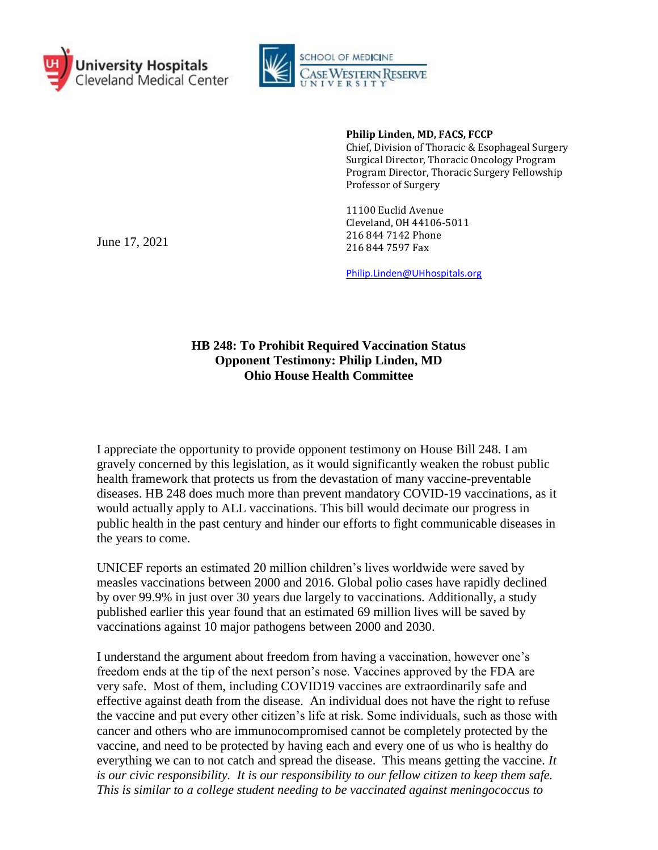



**Philip Linden, MD, FACS, FCCP** Chief, Division of Thoracic & Esophageal Surgery Surgical Director, Thoracic Oncology Program Program Director, Thoracic Surgery Fellowship Professor of Surgery

11100 Euclid Avenue Cleveland, OH 44106-5011 216 844 7142 Phone 216 844 7597 Fax

[Philip.Linden@UHhospitals.org](mailto:Philip.Linden@UHhospitals.org)

## **HB 248: To Prohibit Required Vaccination Status Opponent Testimony: Philip Linden, MD Ohio House Health Committee**

I appreciate the opportunity to provide opponent testimony on House Bill 248. I am gravely concerned by this legislation, as it would significantly weaken the robust public health framework that protects us from the devastation of many vaccine-preventable diseases. HB 248 does much more than prevent mandatory COVID-19 vaccinations, as it would actually apply to ALL vaccinations. This bill would decimate our progress in public health in the past century and hinder our efforts to fight communicable diseases in the years to come.

UNICEF reports an estimated 20 million children's lives worldwide were saved by measles vaccinations between 2000 and 2016. Global polio cases have rapidly declined by over 99.9% in just over 30 years due largely to vaccinations. Additionally, a study published earlier this year found that an estimated 69 million lives will be saved by vaccinations against 10 major pathogens between 2000 and 2030.

I understand the argument about freedom from having a vaccination, however one's freedom ends at the tip of the next person's nose. Vaccines approved by the FDA are very safe. Most of them, including COVID19 vaccines are extraordinarily safe and effective against death from the disease. An individual does not have the right to refuse the vaccine and put every other citizen's life at risk. Some individuals, such as those with cancer and others who are immunocompromised cannot be completely protected by the vaccine, and need to be protected by having each and every one of us who is healthy do everything we can to not catch and spread the disease. This means getting the vaccine. *It is our civic responsibility. It is our responsibility to our fellow citizen to keep them safe. This is similar to a college student needing to be vaccinated against meningococcus to* 

June 17, 2021